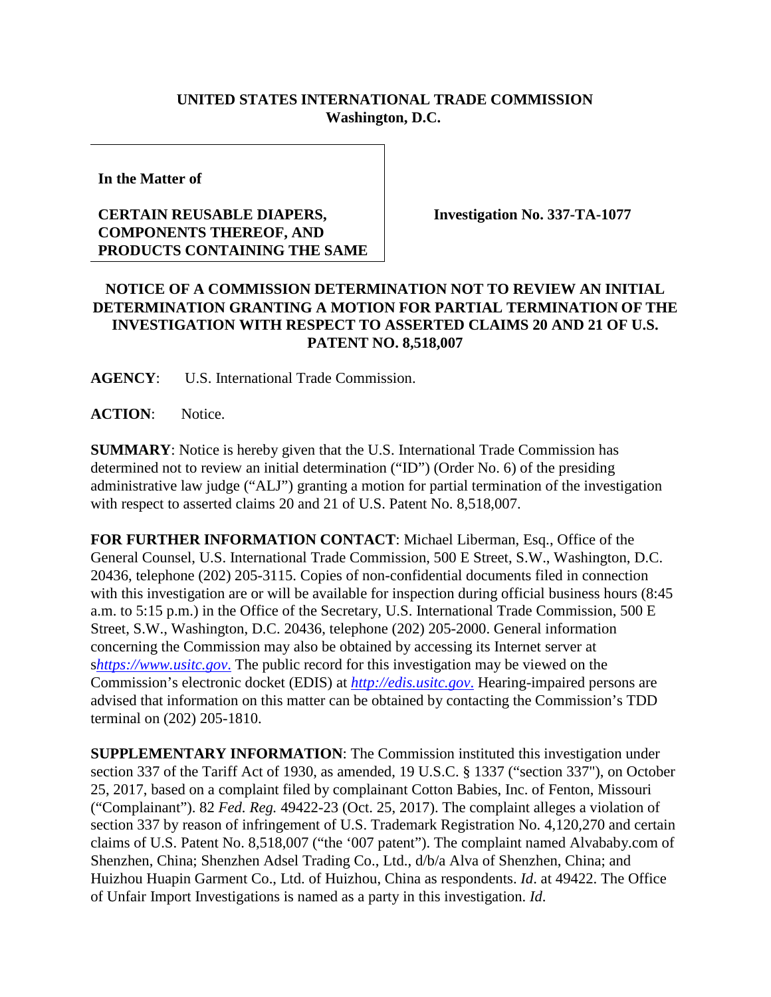## **UNITED STATES INTERNATIONAL TRADE COMMISSION Washington, D.C.**

**In the Matter of**

## **CERTAIN REUSABLE DIAPERS, COMPONENTS THEREOF, AND PRODUCTS CONTAINING THE SAME**

**Investigation No. 337-TA-1077**

## **NOTICE OF A COMMISSION DETERMINATION NOT TO REVIEW AN INITIAL DETERMINATION GRANTING A MOTION FOR PARTIAL TERMINATION OF THE INVESTIGATION WITH RESPECT TO ASSERTED CLAIMS 20 AND 21 OF U.S. PATENT NO. 8,518,007**

**AGENCY**: U.S. International Trade Commission.

ACTION: Notice.

**SUMMARY**: Notice is hereby given that the U.S. International Trade Commission has determined not to review an initial determination ("ID") (Order No. 6) of the presiding administrative law judge ("ALJ") granting a motion for partial termination of the investigation with respect to asserted claims 20 and 21 of U.S. Patent No. 8,518,007.

**FOR FURTHER INFORMATION CONTACT**: Michael Liberman, Esq., Office of the General Counsel, U.S. International Trade Commission, 500 E Street, S.W., Washington, D.C. 20436, telephone (202) 205-3115. Copies of non-confidential documents filed in connection with this investigation are or will be available for inspection during official business hours (8:45 a.m. to 5:15 p.m.) in the Office of the Secretary, U.S. International Trade Commission, 500 E Street, S.W., Washington, D.C. 20436, telephone (202) 205-2000. General information concerning the Commission may also be obtained by accessing its Internet server at s*[https://www.usitc.gov](https://www.usitc.gov./)*. The public record for this investigation may be viewed on the Commission's electronic docket (EDIS) at *[http://edis.usitc.gov](http://edis.usitc.gov./)*. Hearing-impaired persons are advised that information on this matter can be obtained by contacting the Commission's TDD terminal on (202) 205-1810.

**SUPPLEMENTARY INFORMATION**: The Commission instituted this investigation under section 337 of the Tariff Act of 1930, as amended, 19 U.S.C. § 1337 ("section 337"), on October 25, 2017, based on a complaint filed by complainant Cotton Babies, Inc. of Fenton, Missouri ("Complainant"). 82 *Fed. Reg.* 49422-23 (Oct. 25, 2017). The complaint alleges a violation of section 337 by reason of infringement of U.S. Trademark Registration No. 4,120,270 and certain claims of U.S. Patent No. 8,518,007 ("the '007 patent"). The complaint named Alvababy.com of Shenzhen, China; Shenzhen Adsel Trading Co., Ltd., d/b/a Alva of Shenzhen, China; and Huizhou Huapin Garment Co., Ltd. of Huizhou, China as respondents. *Id*. at 49422. The Office of Unfair Import Investigations is named as a party in this investigation. *Id*.